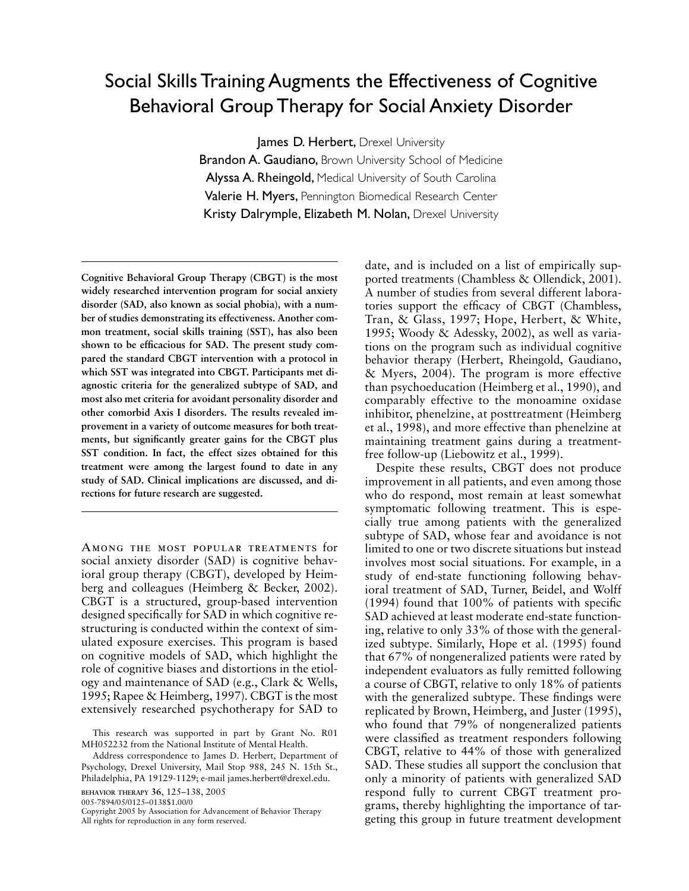# Social Skills Training Augments the Effectiveness of Cognitive Behavioral Group Therapy for Social Anxiety Disorder

lames D. Herbert, Drexel University

**Brandon A. Gaudiano, Brown University School of Medicine** Alyssa A. Rheingold, Medical University of South Carolina Valerie H. Myers, Pennington Biomedical Research Center Kristy Dalrymple, Elizabeth M. Nolan, Drexel University

**Cognitive Behavioral Group Therapy (CBGT) is the most widely researched intervention program for social anxiety disorder (SAD, also known as social phobia), with a number of studies demonstrating its effectiveness. Another common treatment, social skills training (SST), has also been shown to be efficacious for SAD. The present study compared the standard CBGT intervention with a protocol in which SST was integrated into CBGT. Participants met diagnostic criteria for the generalized subtype of SAD, and most also met criteria for avoidant personality disorder and other comorbid Axis I disorders. The results revealed improvement in a variety of outcome measures for both treatments, but significantly greater gains for the CBGT plus SST condition. In fact, the effect sizes obtained for this treatment were among the largest found to date in any study of SAD. Clinical implications are discussed, and directions for future research are suggested.**

Among the most popular treatments for social anxiety disorder (SAD) is cognitive behavioral group therapy (CBGT), developed by Heimberg and colleagues (Heimberg & Becker, 2002). CBGT is a structured, group-based intervention designed specifically for SAD in which cognitive restructuring is conducted within the context of simulated exposure exercises. This program is based on cognitive models of SAD, which highlight the role of cognitive biases and distortions in the etiology and maintenance of SAD (e.g., Clark & Wells, 1995; Rapee & Heimberg, 1997). CBGT is the most extensively researched psychotherapy for SAD to

**BEHAVIOR THERAPY 36**, 125–138, 2005

005-7894/05/0125–0138\$1.00/0

date, and is included on a list of empirically supported treatments (Chambless & Ollendick, 2001). A number of studies from several different laboratories support the efficacy of CBGT (Chambless, Tran, & Glass, 1997; Hope, Herbert, & White, 1995; Woody & Adessky, 2002), as well as variations on the program such as individual cognitive behavior therapy (Herbert, Rheingold, Gaudiano, & Myers, 2004). The program is more effective than psychoeducation (Heimberg et al., 1990), and comparably effective to the monoamine oxidase inhibitor, phenelzine, at posttreatment (Heimberg et al., 1998), and more effective than phenelzine at maintaining treatment gains during a treatmentfree follow-up (Liebowitz et al., 1999).

Despite these results, CBGT does not produce improvement in all patients, and even among those who do respond, most remain at least somewhat symptomatic following treatment. This is especially true among patients with the generalized subtype of SAD, whose fear and avoidance is not limited to one or two discrete situations but instead involves most social situations. For example, in a study of end-state functioning following behavioral treatment of SAD, Turner, Beidel, and Wolff (1994) found that 100% of patients with specific SAD achieved at least moderate end-state functioning, relative to only 33% of those with the generalized subtype. Similarly, Hope et al. (1995) found that 67% of nongeneralized patients were rated by independent evaluators as fully remitted following a course of CBGT, relative to only 18% of patients with the generalized subtype. These findings were replicated by Brown, Heimberg, and Juster (1995), who found that 79% of nongeneralized patients were classified as treatment responders following CBGT, relative to 44% of those with generalized SAD. These studies all support the conclusion that only a minority of patients with generalized SAD respond fully to current CBGT treatment programs, thereby highlighting the importance of targeting this group in future treatment development

This research was supported in part by Grant No. R01 MH052232 from the National Institute of Mental Health.

Address correspondence to James D. Herbert, Department of Psychology, Drexel University, Mail Stop 988, 245 N. 15th St., Philadelphia, PA 19129-1129; e-mail james.herbert@drexel.edu.

Copyright 2005 by Association for Advancement of Behavior Therapy All rights for reproduction in any form reserved.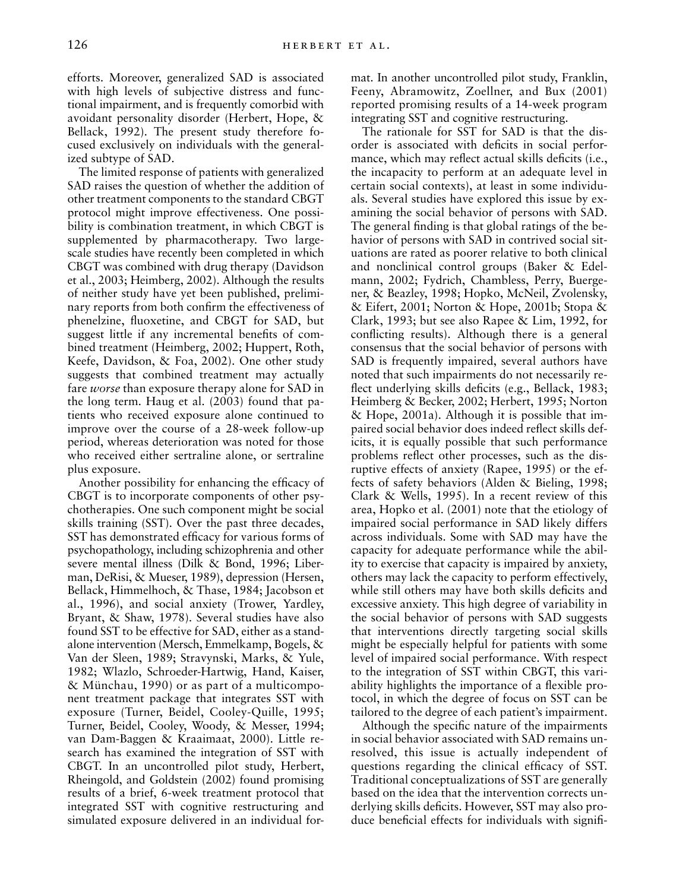efforts. Moreover, generalized SAD is associated with high levels of subjective distress and functional impairment, and is frequently comorbid with avoidant personality disorder (Herbert, Hope, & Bellack, 1992). The present study therefore focused exclusively on individuals with the generalized subtype of SAD.

The limited response of patients with generalized SAD raises the question of whether the addition of other treatment components to the standard CBGT protocol might improve effectiveness. One possibility is combination treatment, in which CBGT is supplemented by pharmacotherapy. Two largescale studies have recently been completed in which CBGT was combined with drug therapy (Davidson et al., 2003; Heimberg, 2002). Although the results of neither study have yet been published, preliminary reports from both confirm the effectiveness of phenelzine, fluoxetine, and CBGT for SAD, but suggest little if any incremental benefits of combined treatment (Heimberg, 2002; Huppert, Roth, Keefe, Davidson, & Foa, 2002). One other study suggests that combined treatment may actually fare *worse* than exposure therapy alone for SAD in the long term. Haug et al. (2003) found that patients who received exposure alone continued to improve over the course of a 28-week follow-up period, whereas deterioration was noted for those who received either sertraline alone, or sertraline plus exposure.

Another possibility for enhancing the efficacy of CBGT is to incorporate components of other psychotherapies. One such component might be social skills training (SST). Over the past three decades, SST has demonstrated efficacy for various forms of psychopathology, including schizophrenia and other severe mental illness (Dilk & Bond, 1996; Liberman, DeRisi, & Mueser, 1989), depression (Hersen, Bellack, Himmelhoch, & Thase, 1984; Jacobson et al., 1996), and social anxiety (Trower, Yardley, Bryant, & Shaw, 1978). Several studies have also found SST to be effective for SAD, either as a standalone intervention (Mersch, Emmelkamp, Bogels, & Van der Sleen, 1989; Stravynski, Marks, & Yule, 1982; Wlazlo, Schroeder-Hartwig, Hand, Kaiser, & Münchau, 1990) or as part of a multicomponent treatment package that integrates SST with exposure (Turner, Beidel, Cooley-Quille, 1995; Turner, Beidel, Cooley, Woody, & Messer, 1994; van Dam-Baggen & Kraaimaat, 2000). Little research has examined the integration of SST with CBGT. In an uncontrolled pilot study, Herbert, Rheingold, and Goldstein (2002) found promising results of a brief, 6-week treatment protocol that integrated SST with cognitive restructuring and simulated exposure delivered in an individual format. In another uncontrolled pilot study, Franklin, Feeny, Abramowitz, Zoellner, and Bux (2001) reported promising results of a 14-week program integrating SST and cognitive restructuring.

The rationale for SST for SAD is that the disorder is associated with deficits in social performance, which may reflect actual skills deficits (i.e., the incapacity to perform at an adequate level in certain social contexts), at least in some individuals. Several studies have explored this issue by examining the social behavior of persons with SAD. The general finding is that global ratings of the behavior of persons with SAD in contrived social situations are rated as poorer relative to both clinical and nonclinical control groups (Baker & Edelmann, 2002; Fydrich, Chambless, Perry, Buergener, & Beazley, 1998; Hopko, McNeil, Zvolensky, & Eifert, 2001; Norton & Hope, 2001b; Stopa & Clark, 1993; but see also Rapee & Lim, 1992, for conflicting results). Although there is a general consensus that the social behavior of persons with SAD is frequently impaired, several authors have noted that such impairments do not necessarily reflect underlying skills deficits (e.g., Bellack, 1983; Heimberg & Becker, 2002; Herbert, 1995; Norton & Hope, 2001a). Although it is possible that impaired social behavior does indeed reflect skills deficits, it is equally possible that such performance problems reflect other processes, such as the disruptive effects of anxiety (Rapee, 1995) or the effects of safety behaviors (Alden & Bieling, 1998; Clark & Wells, 1995). In a recent review of this area, Hopko et al. (2001) note that the etiology of impaired social performance in SAD likely differs across individuals. Some with SAD may have the capacity for adequate performance while the ability to exercise that capacity is impaired by anxiety, others may lack the capacity to perform effectively, while still others may have both skills deficits and excessive anxiety. This high degree of variability in the social behavior of persons with SAD suggests that interventions directly targeting social skills might be especially helpful for patients with some level of impaired social performance. With respect to the integration of SST within CBGT, this variability highlights the importance of a flexible protocol, in which the degree of focus on SST can be tailored to the degree of each patient's impairment.

Although the specific nature of the impairments in social behavior associated with SAD remains unresolved, this issue is actually independent of questions regarding the clinical efficacy of SST. Traditional conceptualizations of SST are generally based on the idea that the intervention corrects underlying skills deficits. However, SST may also produce beneficial effects for individuals with signifi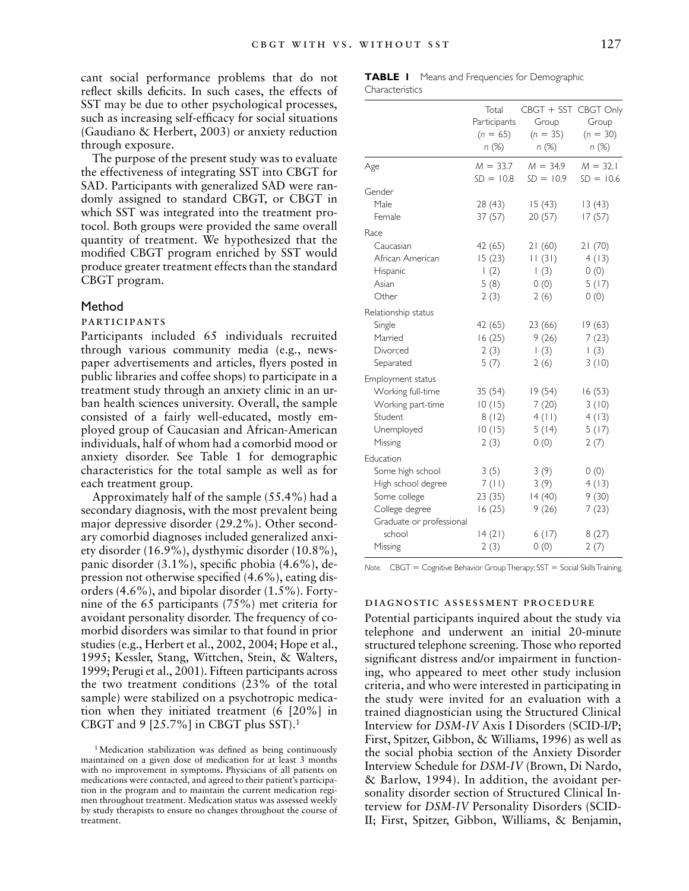cant social performance problems that do not reflect skills deficits. In such cases, the effects of SST may be due to other psychological processes, such as increasing self-efficacy for social situations (Gaudiano & Herbert, 2003) or anxiety reduction through exposure.

The purpose of the present study was to evaluate the effectiveness of integrating SST into CBGT for SAD. Participants with generalized SAD were randomly assigned to standard CBGT, or CBGT in which SST was integrated into the treatment protocol. Both groups were provided the same overall quantity of treatment. We hypothesized that the modified CBGT program enriched by SST would produce greater treatment effects than the standard CBGT program.

#### Method

# participants

Participants included 65 individuals recruited through various community media (e.g., newspaper advertisements and articles, flyers posted in public libraries and coffee shops) to participate in a treatment study through an anxiety clinic in an urban health sciences university. Overall, the sample consisted of a fairly well-educated, mostly employed group of Caucasian and African-American individuals, half of whom had a comorbid mood or anxiety disorder. See Table 1 for demographic characteristics for the total sample as well as for each treatment group.

Approximately half of the sample (55.4%) had a secondary diagnosis, with the most prevalent being major depressive disorder (29.2%). Other secondary comorbid diagnoses included generalized anxiety disorder (16.9%), dysthymic disorder (10.8%), panic disorder (3.1%), specific phobia (4.6%), depression not otherwise specified (4.6%), eating disorders (4.6%), and bipolar disorder (1.5%). Fortynine of the 65 participants (75%) met criteria for avoidant personality disorder. The frequency of comorbid disorders was similar to that found in prior studies (e.g., Herbert et al., 2002, 2004; Hope et al., 1995; Kessler, Stang, Wittchen, Stein, & Walters, 1999; Perugi et al., 2001). Fifteen participants across the two treatment conditions (23% of the total sample) were stabilized on a psychotropic medication when they initiated treatment (6 [20%] in CBGT and  $9$  [25.7%] in CBGT plus SST).<sup>1</sup>

<sup>1</sup>Medication stabilization was defined as being continuously maintained on a given dose of medication for at least 3 months with no improvement in symptoms. Physicians of all patients on medications were contacted, and agreed to their patient's participation in the program and to maintain the current medication regimen throughout treatment. Medication status was assessed weekly by study therapists to ensure no changes throughout the course of treatment.

|                 |  | <b>TABLE I</b> Means and Frequencies for Demographic |  |
|-----------------|--|------------------------------------------------------|--|
| Characteristics |  |                                                      |  |

|                          | Total            |                      |             |
|--------------------------|------------------|----------------------|-------------|
|                          |                  | CBGT + SST CBGT Only | Group       |
|                          | Participants     | Group                |             |
|                          | $(n = 65)$       | $(n = 35)$           | $(n = 30)$  |
|                          | n(%)             | n (%)                | n(%)        |
| Age                      | $M = 33.7$       | $M = 34.9$           | $M = 32.1$  |
|                          | $SD = 10.8$      | $SD = 10.9$          | $SD = 10.6$ |
| Gender                   |                  |                      |             |
| Male                     | 28 (43)          | 15(43)               | 13(43)      |
| Female                   | 37(57)           | 20 (57)              | 17(57)      |
| Race                     |                  |                      |             |
| Caucasian                | 42 (65)          | 21(60)               | 21(70)      |
| African American         | 15(23)           | 11(31)               | 4(13)       |
| Hispanic                 | $\left(2\right)$ | $\left(3\right)$     | 0(0)        |
| Asian                    | 5(8)             | 0(0)                 | 5(17)       |
| Other                    | 2(3)             | 2(6)                 | 0(0)        |
| Relationship status      |                  |                      |             |
| Single                   | 42 (65)          | 23 (66)              | 19(63)      |
| Married                  | 16(25)           | 9(26)                | 7(23)       |
| Divorced                 | 2(3)             | (3)                  | (3)         |
| Separated                | 5(7)             | 2(6)                 | 3(10)       |
| Employment status        |                  |                      |             |
| Working full-time        | 35(54)           | 19(54)               | 16(53)      |
| Working part-time        | 10(15)           | 7(20)                | 3(10)       |
| Student                  | 8(12)            | 4(11)                | 4(13)       |
| Unemployed               | 10(15)           | 5(14)                | 5(17)       |
| Missing                  | 2(3)             | 0(0)                 | 2(7)        |
| Education                |                  |                      |             |
| Some high school         | 3(5)             | 3(9)                 | 0(0)        |
| High school degree       | 7(11)            | 3(9)                 | 4(13)       |
| Some college             | 23(35)           | 14(40)               | 9(30)       |
| College degree           | 16(25)           | 9(26)                | 7(23)       |
| Graduate or professional |                  |                      |             |
| school                   | 14(21)           | 6(17)                | 8(27)       |
| Missing                  | 2(3)             | 0(0)                 | 2(7)        |

*Note.* CBGT = Cognitive Behavior Group Therapy; SST = Social Skills Training.

#### diagnostic assessment procedure

Potential participants inquired about the study via telephone and underwent an initial 20-minute structured telephone screening. Those who reported significant distress and/or impairment in functioning, who appeared to meet other study inclusion criteria, and who were interested in participating in the study were invited for an evaluation with a trained diagnostician using the Structured Clinical Interview for *DSM-IV* Axis I Disorders (SCID-I/P; First, Spitzer, Gibbon, & Williams, 1996) as well as the social phobia section of the Anxiety Disorder Interview Schedule for *DSM-IV* (Brown, Di Nardo, & Barlow, 1994). In addition, the avoidant personality disorder section of Structured Clinical Interview for *DSM-IV* Personality Disorders (SCID-II; First, Spitzer, Gibbon, Williams, & Benjamin,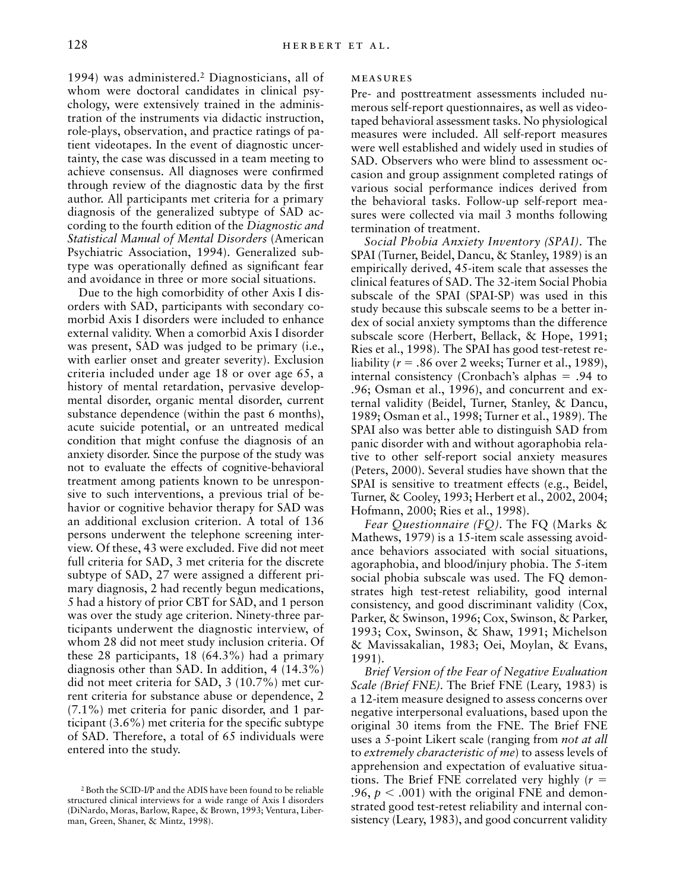1994) was administered.2 Diagnosticians, all of whom were doctoral candidates in clinical psychology, were extensively trained in the administration of the instruments via didactic instruction, role-plays, observation, and practice ratings of patient videotapes. In the event of diagnostic uncertainty, the case was discussed in a team meeting to achieve consensus. All diagnoses were confirmed through review of the diagnostic data by the first author. All participants met criteria for a primary diagnosis of the generalized subtype of SAD according to the fourth edition of the *Diagnostic and Statistical Manual of Mental Disorders* (American Psychiatric Association, 1994). Generalized subtype was operationally defined as significant fear and avoidance in three or more social situations.

Due to the high comorbidity of other Axis I disorders with SAD, participants with secondary comorbid Axis I disorders were included to enhance external validity. When a comorbid Axis I disorder was present, SAD was judged to be primary (i.e., with earlier onset and greater severity). Exclusion criteria included under age 18 or over age 65, a history of mental retardation, pervasive developmental disorder, organic mental disorder, current substance dependence (within the past 6 months), acute suicide potential, or an untreated medical condition that might confuse the diagnosis of an anxiety disorder. Since the purpose of the study was not to evaluate the effects of cognitive-behavioral treatment among patients known to be unresponsive to such interventions, a previous trial of behavior or cognitive behavior therapy for SAD was an additional exclusion criterion. A total of 136 persons underwent the telephone screening interview. Of these, 43 were excluded. Five did not meet full criteria for SAD, 3 met criteria for the discrete subtype of SAD, 27 were assigned a different primary diagnosis, 2 had recently begun medications, 5 had a history of prior CBT for SAD, and 1 person was over the study age criterion. Ninety-three participants underwent the diagnostic interview, of whom 28 did not meet study inclusion criteria. Of these 28 participants, 18 (64.3%) had a primary diagnosis other than SAD. In addition, 4 (14.3%) did not meet criteria for SAD, 3 (10.7%) met current criteria for substance abuse or dependence, 2 (7.1%) met criteria for panic disorder, and 1 participant (3.6%) met criteria for the specific subtype of SAD. Therefore, a total of 65 individuals were entered into the study.

#### **MEASURES**

Pre- and posttreatment assessments included numerous self-report questionnaires, as well as videotaped behavioral assessment tasks. No physiological measures were included. All self-report measures were well established and widely used in studies of SAD. Observers who were blind to assessment occasion and group assignment completed ratings of various social performance indices derived from the behavioral tasks. Follow-up self-report measures were collected via mail 3 months following termination of treatment.

*Social Phobia Anxiety Inventory (SPAI).* The SPAI (Turner, Beidel, Dancu, & Stanley, 1989) is an empirically derived, 45-item scale that assesses the clinical features of SAD. The 32-item Social Phobia subscale of the SPAI (SPAI-SP) was used in this study because this subscale seems to be a better index of social anxiety symptoms than the difference subscale score (Herbert, Bellack, & Hope, 1991; Ries et al., 1998). The SPAI has good test-retest reliability ( $r = .86$  over 2 weeks; Turner et al., 1989), internal consistency (Cronbach's alphas  $= .94$  to .96; Osman et al., 1996), and concurrent and external validity (Beidel, Turner, Stanley, & Dancu, 1989; Osman et al., 1998; Turner et al., 1989). The SPAI also was better able to distinguish SAD from panic disorder with and without agoraphobia relative to other self-report social anxiety measures (Peters, 2000). Several studies have shown that the SPAI is sensitive to treatment effects (e.g., Beidel, Turner, & Cooley, 1993; Herbert et al., 2002, 2004; Hofmann, 2000; Ries et al., 1998).

*Fear Questionnaire (FQ).* The FQ (Marks & Mathews, 1979) is a 15-item scale assessing avoidance behaviors associated with social situations, agoraphobia, and blood/injury phobia. The 5-item social phobia subscale was used. The FQ demonstrates high test-retest reliability, good internal consistency, and good discriminant validity (Cox, Parker, & Swinson, 1996; Cox, Swinson, & Parker, 1993; Cox, Swinson, & Shaw, 1991; Michelson & Mavissakalian, 1983; Oei, Moylan, & Evans, 1991).

*Brief Version of the Fear of Negative Evaluation Scale (Brief FNE).* The Brief FNE (Leary, 1983) is a 12-item measure designed to assess concerns over negative interpersonal evaluations, based upon the original 30 items from the FNE. The Brief FNE uses a 5-point Likert scale (ranging from *not at all* to *extremely characteristic of me*) to assess levels of apprehension and expectation of evaluative situations. The Brief FNE correlated very highly  $(r =$ .96,  $p < .001$ ) with the original FNE and demonstrated good test-retest reliability and internal consistency (Leary, 1983), and good concurrent validity

<sup>2</sup> Both the SCID-I/P and the ADIS have been found to be reliable structured clinical interviews for a wide range of Axis I disorders (DiNardo, Moras, Barlow, Rapee, & Brown, 1993; Ventura, Liberman, Green, Shaner, & Mintz, 1998).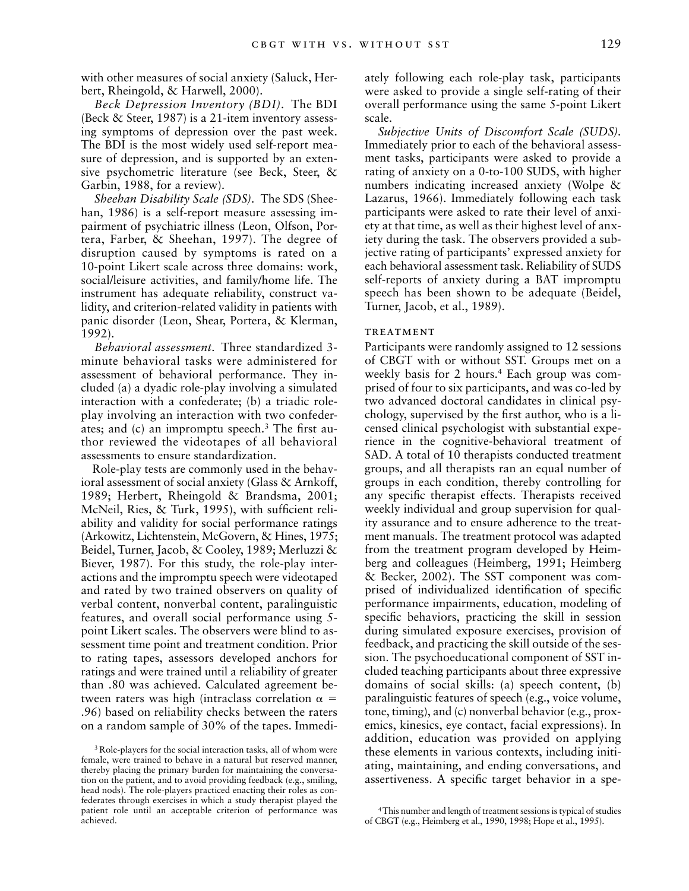with other measures of social anxiety (Saluck, Herbert, Rheingold, & Harwell, 2000).

*Beck Depression Inventory (BDI).* The BDI (Beck & Steer, 1987) is a 21-item inventory assessing symptoms of depression over the past week. The BDI is the most widely used self-report measure of depression, and is supported by an extensive psychometric literature (see Beck, Steer, & Garbin, 1988, for a review).

*Sheehan Disability Scale (SDS).* The SDS (Sheehan, 1986) is a self-report measure assessing impairment of psychiatric illness (Leon, Olfson, Portera, Farber, & Sheehan, 1997). The degree of disruption caused by symptoms is rated on a 10-point Likert scale across three domains: work, social/leisure activities, and family/home life. The instrument has adequate reliability, construct validity, and criterion-related validity in patients with panic disorder (Leon, Shear, Portera, & Klerman, 1992).

*Behavioral assessment.* Three standardized 3 minute behavioral tasks were administered for assessment of behavioral performance. They included (a) a dyadic role-play involving a simulated interaction with a confederate; (b) a triadic roleplay involving an interaction with two confederates; and (c) an impromptu speech.3 The first author reviewed the videotapes of all behavioral assessments to ensure standardization.

Role-play tests are commonly used in the behavioral assessment of social anxiety (Glass & Arnkoff, 1989; Herbert, Rheingold & Brandsma, 2001; McNeil, Ries, & Turk, 1995), with sufficient reliability and validity for social performance ratings (Arkowitz, Lichtenstein, McGovern, & Hines, 1975; Beidel, Turner, Jacob, & Cooley, 1989; Merluzzi & Biever, 1987). For this study, the role-play interactions and the impromptu speech were videotaped and rated by two trained observers on quality of verbal content, nonverbal content, paralinguistic features, and overall social performance using 5 point Likert scales. The observers were blind to assessment time point and treatment condition. Prior to rating tapes, assessors developed anchors for ratings and were trained until a reliability of greater than .80 was achieved. Calculated agreement between raters was high (intraclass correlation  $\alpha =$ .96) based on reliability checks between the raters on a random sample of 30% of the tapes. Immediately following each role-play task, participants were asked to provide a single self-rating of their overall performance using the same 5-point Likert scale.

*Subjective Units of Discomfort Scale (SUDS).* Immediately prior to each of the behavioral assessment tasks, participants were asked to provide a rating of anxiety on a 0-to-100 SUDS, with higher numbers indicating increased anxiety (Wolpe & Lazarus, 1966). Immediately following each task participants were asked to rate their level of anxiety at that time, as well as their highest level of anxiety during the task. The observers provided a subjective rating of participants' expressed anxiety for each behavioral assessment task. Reliability of SUDS self-reports of anxiety during a BAT impromptu speech has been shown to be adequate (Beidel, Turner, Jacob, et al., 1989).

#### **TREATMENT**

Participants were randomly assigned to 12 sessions of CBGT with or without SST. Groups met on a weekly basis for 2 hours.<sup>4</sup> Each group was comprised of four to six participants, and was co-led by two advanced doctoral candidates in clinical psychology, supervised by the first author, who is a licensed clinical psychologist with substantial experience in the cognitive-behavioral treatment of SAD. A total of 10 therapists conducted treatment groups, and all therapists ran an equal number of groups in each condition, thereby controlling for any specific therapist effects. Therapists received weekly individual and group supervision for quality assurance and to ensure adherence to the treatment manuals. The treatment protocol was adapted from the treatment program developed by Heimberg and colleagues (Heimberg, 1991; Heimberg & Becker, 2002). The SST component was comprised of individualized identification of specific performance impairments, education, modeling of specific behaviors, practicing the skill in session during simulated exposure exercises, provision of feedback, and practicing the skill outside of the session. The psychoeducational component of SST included teaching participants about three expressive domains of social skills: (a) speech content, (b) paralinguistic features of speech (e.g., voice volume, tone, timing), and (c) nonverbal behavior (e.g., proxemics, kinesics, eye contact, facial expressions). In addition, education was provided on applying these elements in various contexts, including initiating, maintaining, and ending conversations, and assertiveness. A specific target behavior in a spe-

<sup>3</sup> Role-players for the social interaction tasks, all of whom were female, were trained to behave in a natural but reserved manner, thereby placing the primary burden for maintaining the conversation on the patient, and to avoid providing feedback (e.g., smiling, head nods). The role-players practiced enacting their roles as confederates through exercises in which a study therapist played the patient role until an acceptable criterion of performance was achieved.

<sup>4</sup>This number and length of treatment sessions is typical of studies of CBGT (e.g., Heimberg et al., 1990, 1998; Hope et al., 1995).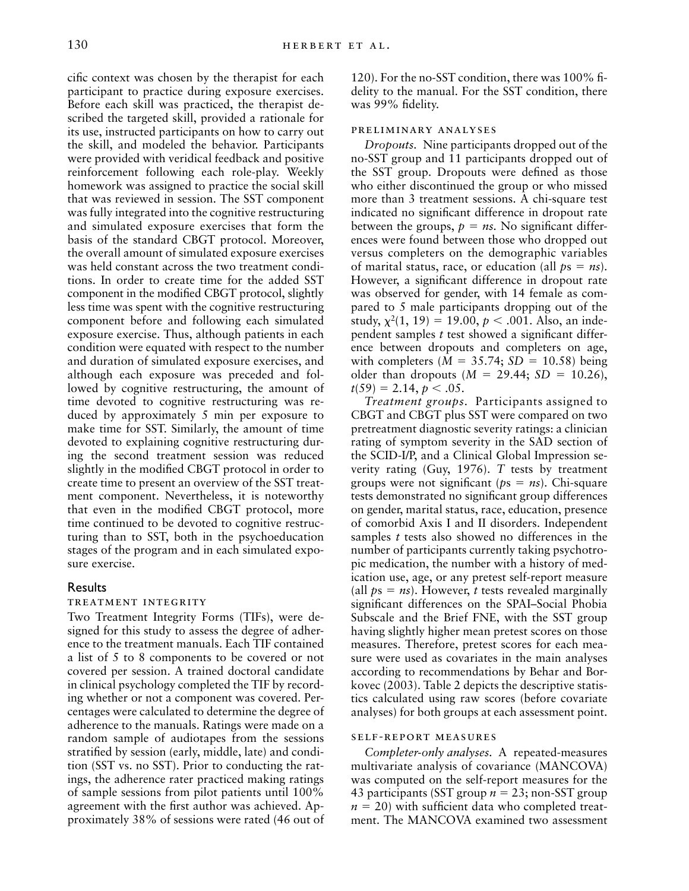cific context was chosen by the therapist for each participant to practice during exposure exercises. Before each skill was practiced, the therapist described the targeted skill, provided a rationale for its use, instructed participants on how to carry out the skill, and modeled the behavior. Participants were provided with veridical feedback and positive reinforcement following each role-play. Weekly homework was assigned to practice the social skill that was reviewed in session. The SST component was fully integrated into the cognitive restructuring and simulated exposure exercises that form the basis of the standard CBGT protocol. Moreover, the overall amount of simulated exposure exercises was held constant across the two treatment conditions. In order to create time for the added SST component in the modified CBGT protocol, slightly less time was spent with the cognitive restructuring component before and following each simulated exposure exercise. Thus, although patients in each condition were equated with respect to the number and duration of simulated exposure exercises, and although each exposure was preceded and followed by cognitive restructuring, the amount of time devoted to cognitive restructuring was reduced by approximately 5 min per exposure to make time for SST. Similarly, the amount of time devoted to explaining cognitive restructuring during the second treatment session was reduced slightly in the modified CBGT protocol in order to create time to present an overview of the SST treatment component. Nevertheless, it is noteworthy that even in the modified CBGT protocol, more time continued to be devoted to cognitive restructuring than to SST, both in the psychoeducation stages of the program and in each simulated exposure exercise.

# Results

#### treatment integrity

Two Treatment Integrity Forms (TIFs), were designed for this study to assess the degree of adherence to the treatment manuals. Each TIF contained a list of 5 to 8 components to be covered or not covered per session. A trained doctoral candidate in clinical psychology completed the TIF by recording whether or not a component was covered. Percentages were calculated to determine the degree of adherence to the manuals. Ratings were made on a random sample of audiotapes from the sessions stratified by session (early, middle, late) and condition (SST vs. no SST). Prior to conducting the ratings, the adherence rater practiced making ratings of sample sessions from pilot patients until 100% agreement with the first author was achieved. Approximately 38% of sessions were rated (46 out of 120). For the no-SST condition, there was 100% fidelity to the manual. For the SST condition, there was 99% fidelity.

#### preliminary analyses

*Dropouts.* Nine participants dropped out of the no-SST group and 11 participants dropped out of the SST group. Dropouts were defined as those who either discontinued the group or who missed more than 3 treatment sessions. A chi-square test indicated no significant difference in dropout rate between the groups,  $p = ns$ . No significant differences were found between those who dropped out versus completers on the demographic variables of marital status, race, or education (all  $ps = ns$ ). However, a significant difference in dropout rate was observed for gender, with 14 female as compared to 5 male participants dropping out of the study,  $\chi^2(1, 19) = 19.00, p < .001$ . Also, an independent samples *t* test showed a significant difference between dropouts and completers on age, with completers  $(M = 35.74; SD = 10.58)$  being older than dropouts  $(M = 29.44; SD = 10.26)$ ,  $t(59) = 2.14, p < .05.$ 

*Treatment groups.* Participants assigned to CBGT and CBGT plus SST were compared on two pretreatment diagnostic severity ratings: a clinician rating of symptom severity in the SAD section of the SCID-I/P, and a Clinical Global Impression severity rating (Guy, 1976). *T* tests by treatment groups were not significant ( $ps = ns$ ). Chi-square tests demonstrated no significant group differences on gender, marital status, race, education, presence of comorbid Axis I and II disorders. Independent samples *t* tests also showed no differences in the number of participants currently taking psychotropic medication, the number with a history of medication use, age, or any pretest self-report measure (all  $ps = ns$ ). However, *t* tests revealed marginally significant differences on the SPAI–Social Phobia Subscale and the Brief FNE, with the SST group having slightly higher mean pretest scores on those measures. Therefore, pretest scores for each measure were used as covariates in the main analyses according to recommendations by Behar and Borkovec (2003). Table 2 depicts the descriptive statistics calculated using raw scores (before covariate analyses) for both groups at each assessment point.

# self-report measures

*Completer-only analyses.* A repeated-measures multivariate analysis of covariance (MANCOVA) was computed on the self-report measures for the 43 participants (SST group  $n = 23$ ; non-SST group  $n = 20$ ) with sufficient data who completed treatment. The MANCOVA examined two assessment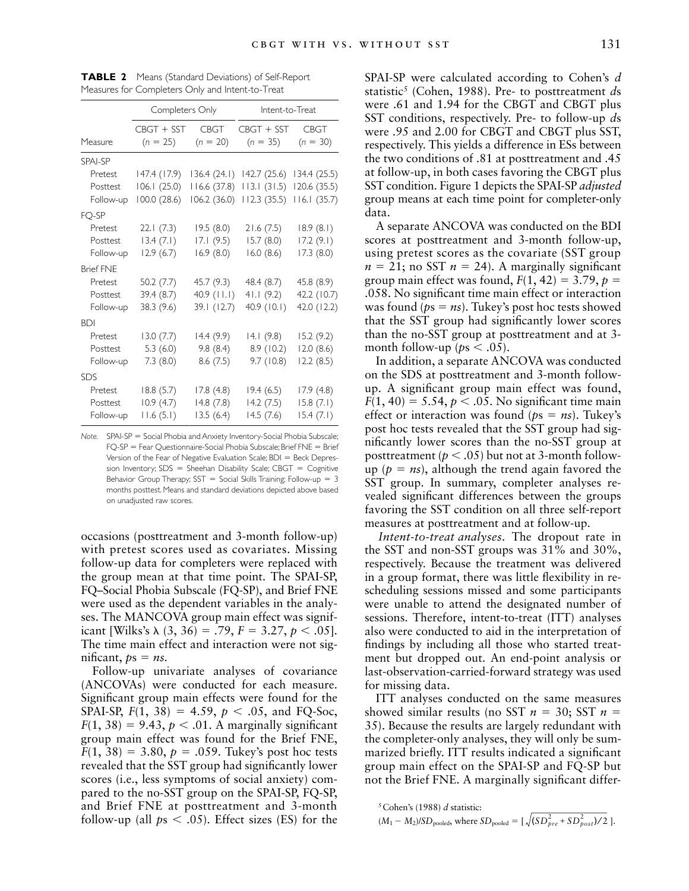|                  | Completers Only |               | Intent-to-Treat |              |  |
|------------------|-----------------|---------------|-----------------|--------------|--|
|                  | CBGT + SST      | <b>CBGT</b>   | $CBGT + SST$    | <b>CBGT</b>  |  |
| Measure          | $(n = 25)$      | $(n = 20)$    | $(n = 35)$      | $(n = 30)$   |  |
| SPAI-SP          |                 |               |                 |              |  |
| Pretest          | 147.4 (17.9)    | 136.4(24.1)   | 142.7(25.6)     | 134.4 (25.5) |  |
| Posttest         | 106.1(25.0)     | 116.6(37.8)   | 113.1(31.5)     | 120.6 (35.5) |  |
| Follow-up        | 100.0 (28.6)    | 106.2(36.0)   | 112.3(35.5)     | 116.1(35.7)  |  |
| FQ-SP            |                 |               |                 |              |  |
| Pretest          | 22.1(7.3)       | 19.5(8.0)     | 21.6(7.5)       | 18.9(8.1)    |  |
| Posttest         | 13.4(7.1)       | 17.1(9.5)     | 15.7(8.0)       | 17.2(9.1)    |  |
| Follow-up        | 12.9(6.7)       | 16.9(8.0)     | 16.0(8.6)       | 17.3(8.0)    |  |
| <b>Brief FNE</b> |                 |               |                 |              |  |
| Pretest          | 50.2(7.7)       | 45.7 (9.3)    | 48.4 (8.7)      | 45.8 (8.9)   |  |
| Posttest         | 39.4(8.7)       | $40.9$ (11.1) | 41.1(9.2)       | 42.2 (10.7)  |  |
| Follow-up        | 38.3(9.6)       | 39.1 (12.7)   | 40.9 (10.1)     | 42.0 (12.2)  |  |
| <b>BDI</b>       |                 |               |                 |              |  |
| Pretest          | 13.0(7.7)       | 14.4(9.9)     | 14.1(9.8)       | 15.2(9.2)    |  |
| Posttest         | 5.3(6.0)        | 9.8(8.4)      | 8.9 (10.2)      | 12.0(8.6)    |  |
| Follow-up        | 7.3(8.0)        | 8.6(7.5)      | 9.7(10.8)       | 12.2(8.5)    |  |
| <b>SDS</b>       |                 |               |                 |              |  |
| Pretest          | 18.8(5.7)       | 17.8(4.8)     | 19.4(6.5)       | 17.9 (4.8)   |  |
| Posttest         | 10.9(4.7)       | 14.8(7.8)     | 14.2(7.5)       | 15.8(7.1)    |  |
| Follow-up        | 11.6(5.1)       | 13.5(6.4)     | 14.5(7.6)       | 15.4(7.1)    |  |

**TABLE 2** Means (Standard Deviations) of Self-Report Measures for Completers Only and Intent-to-Treat

*Note.* SPAI-SP = Social Phobia and Anxiety Inventory-Social Phobia Subscale; FQ-SP = Fear Questionnaire-Social Phobia Subscale; Brief FNE = Brief Version of the Fear of Negative Evaluation Scale; BDI = Beck Depression Inventory;  $SDS = Sheehan Disability Scale; CBGT = Cognitive$ Behavior Group Therapy;  $SST =$  Social Skills Training; Follow-up = 3 months posttest. Means and standard deviations depicted above based on unadjusted raw scores.

occasions (posttreatment and 3-month follow-up) with pretest scores used as covariates. Missing follow-up data for completers were replaced with the group mean at that time point. The SPAI-SP, FQ–Social Phobia Subscale (FQ-SP), and Brief FNE were used as the dependent variables in the analyses. The MANCOVA group main effect was significant [Wilks's  $\lambda$  (3, 36) = .79,  $F = 3.27, p < .05$ ]. The time main effect and interaction were not significant,  $ps = ns$ .

Follow-up univariate analyses of covariance (ANCOVAs) were conducted for each measure. Significant group main effects were found for the SPAI-SP,  $F(1, 38) = 4.59$ ,  $p < .05$ , and FQ-Soc,  $F(1, 38) = 9.43$ ,  $p < .01$ . A marginally significant group main effect was found for the Brief FNE,  $F(1, 38) = 3.80, p = .059$ . Tukey's post hoc tests revealed that the SST group had significantly lower scores (i.e., less symptoms of social anxiety) compared to the no-SST group on the SPAI-SP, FQ-SP, and Brief FNE at posttreatment and 3-month follow-up (all  $ps < .05$ ). Effect sizes (ES) for the SPAI-SP were calculated according to Cohen's *d* statistic5 (Cohen, 1988). Pre- to posttreatment *d*s were .61 and 1.94 for the CBGT and CBGT plus SST conditions, respectively. Pre- to follow-up *d*s were .95 and 2.00 for CBGT and CBGT plus SST, respectively. This yields a difference in ESs between the two conditions of .81 at posttreatment and .45 at follow-up, in both cases favoring the CBGT plus SST condition. Figure 1 depicts the SPAI-SP *adjusted* group means at each time point for completer-only data.

A separate ANCOVA was conducted on the BDI scores at posttreatment and 3-month follow-up, using pretest scores as the covariate (SST group  $n = 21$ ; no SST  $n = 24$ ). A marginally significant group main effect was found,  $F(1, 42) = 3.79$ ,  $p =$ .058. No significant time main effect or interaction was found ( $ps = ns$ ). Tukey's post hoc tests showed that the SST group had significantly lower scores than the no-SST group at posttreatment and at 3 month follow-up ( $ps < .05$ ).

In addition, a separate ANCOVA was conducted on the SDS at posttreatment and 3-month followup. A significant group main effect was found,  $F(1, 40) = 5.54, p < .05$ . No significant time main effect or interaction was found ( $ps = ns$ ). Tukey's post hoc tests revealed that the SST group had significantly lower scores than the no-SST group at posttreatment ( $p < .05$ ) but not at 3-month followup ( $p = ns$ ), although the trend again favored the SST group. In summary, completer analyses revealed significant differences between the groups favoring the SST condition on all three self-report measures at posttreatment and at follow-up.

*Intent-to-treat analyses.* The dropout rate in the SST and non-SST groups was 31% and 30%, respectively. Because the treatment was delivered in a group format, there was little flexibility in rescheduling sessions missed and some participants were unable to attend the designated number of sessions. Therefore, intent-to-treat (ITT) analyses also were conducted to aid in the interpretation of findings by including all those who started treatment but dropped out. An end-point analysis or last-observation-carried-forward strategy was used for missing data.

ITT analyses conducted on the same measures showed similar results (no SST  $n = 30$ ; SST  $n =$ 35). Because the results are largely redundant with the completer-only analyses, they will only be summarized briefly. ITT results indicated a significant group main effect on the SPAI-SP and FQ-SP but not the Brief FNE. A marginally significant differ-

```
5Cohen's (1988) d statistic:
```

$$
(M_1 - M_2)/SD_{pooled}
$$
, where  $SD_{pooled} = [\sqrt{(SD_{pre}^2 + SD_{post}^2)/2}].$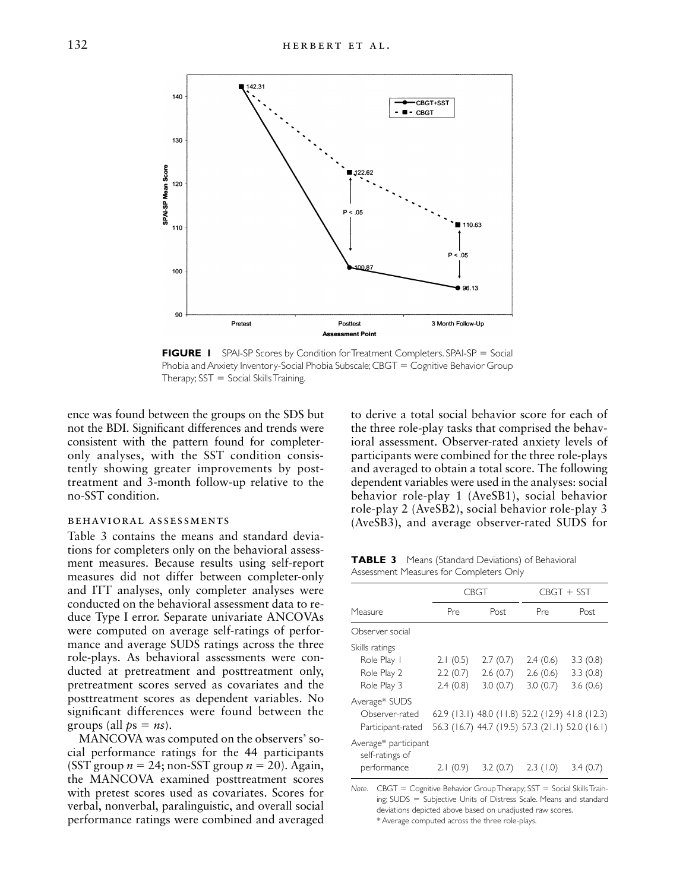

**FIGURE 1** SPAI-SP Scores by Condition for Treatment Completers. SPAI-SP = Social Phobia and Anxiety Inventory-Social Phobia Subscale;  $CBGT =$  Cognitive Behavior Group Therapy;  $SST = Social Skills Training$ .

ence was found between the groups on the SDS but not the BDI. Significant differences and trends were consistent with the pattern found for completeronly analyses, with the SST condition consistently showing greater improvements by posttreatment and 3-month follow-up relative to the no-SST condition.

# behavioral assessments

Table 3 contains the means and standard deviations for completers only on the behavioral assessment measures. Because results using self-report measures did not differ between completer-only and ITT analyses, only completer analyses were conducted on the behavioral assessment data to reduce Type I error. Separate univariate ANCOVAs were computed on average self-ratings of performance and average SUDS ratings across the three role-plays. As behavioral assessments were conducted at pretreatment and posttreatment only, pretreatment scores served as covariates and the posttreatment scores as dependent variables. No significant differences were found between the groups (all  $ps = ns$ ).

MANCOVA was computed on the observers' social performance ratings for the 44 participants (SST group  $n = 24$ ; non-SST group  $n = 20$ ). Again, the MANCOVA examined posttreatment scores with pretest scores used as covariates. Scores for verbal, nonverbal, paralinguistic, and overall social performance ratings were combined and averaged to derive a total social behavior score for each of the three role-play tasks that comprised the behavioral assessment. Observer-rated anxiety levels of participants were combined for the three role-plays and averaged to obtain a total score. The following dependent variables were used in the analyses: social behavior role-play 1 (AveSB1), social behavior role-play 2 (AveSB2), social behavior role-play 3 (AveSB3), and average observer-rated SUDS for

**TABLE 3** Means (Standard Deviations) of Behavioral Assessment Measures for Completers Only

|                                         | CBGT     |                                                 | $CRGT + SST$ |          |
|-----------------------------------------|----------|-------------------------------------------------|--------------|----------|
| Measure                                 | Pre      | Post                                            | Pre          | Post     |
| Observer social                         |          |                                                 |              |          |
| Skills ratings                          |          |                                                 |              |          |
| Role Play I                             | 2.1(0.5) | 2.7(0.7)                                        | 2.4(0.6)     | 3.3(0.8) |
| Role Play 2                             | 2.2(0.7) | 2.6(0.7)                                        | 2.6(0.6)     | 3.3(0.8) |
| Role Play 3                             | 2.4(0.8) | 3.0(0.7)                                        | 3.0(0.7)     | 3.6(0.6) |
| Average* SUDS                           |          |                                                 |              |          |
| Observer-rated                          |          | 62.9 (13.1) 48.0 (11.8) 52.2 (12.9) 41.8 (12.3) |              |          |
| Participant-rated                       |          | 56.3 (16.7) 44.7 (19.5) 57.3 (21.1) 52.0 (16.1) |              |          |
| Average* participant<br>self-ratings of |          |                                                 |              |          |
| performance                             | 2.1(0.9) | 3.2(0.7)                                        | 2.3(1.0)     | 3.4(0.7) |

*Note.* CBGT = Cognitive Behavior Group Therapy; SST = Social Skills Training; SUDS = Subjective Units of Distress Scale. Means and standard deviations depicted above based on unadjusted raw scores. \* Average computed across the three role-plays.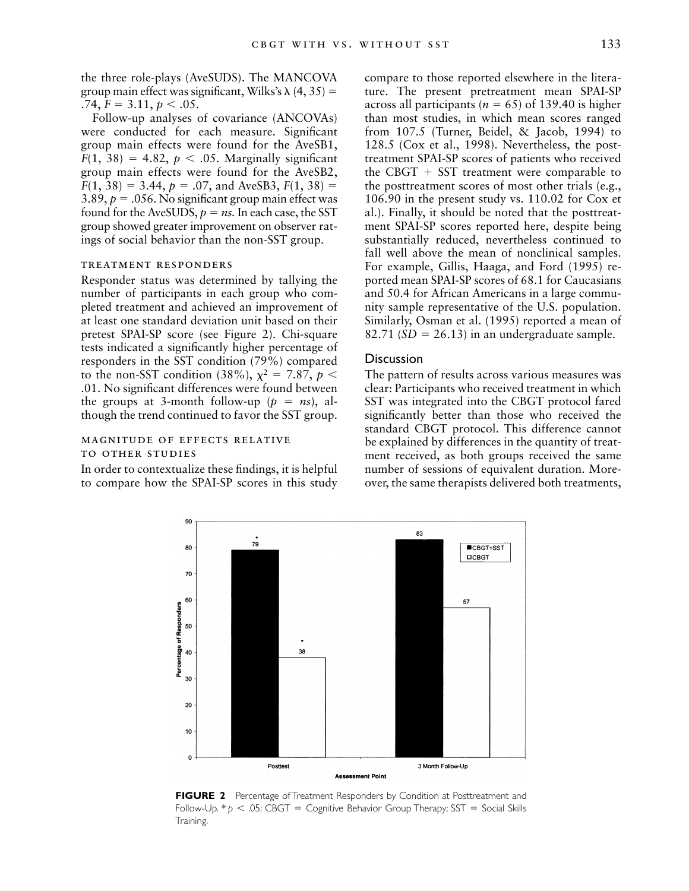the three role-plays (AveSUDS). The MANCOVA group main effect was significant, Wilks's  $\lambda$  (4, 35) =  $.74, F = 3.11, p < .05.$ 

Follow-up analyses of covariance (ANCOVAs) were conducted for each measure. Significant group main effects were found for the AveSB1,  $F(1, 38) = 4.82, p < .05$ . Marginally significant group main effects were found for the AveSB2,  $F(1, 38) = 3.44, p = .07, \text{ and AveSB3}, F(1, 38) =$ 3.89,  $p = 0.056$ . No significant group main effect was found for the AveSUDS,  $p = ns$ . In each case, the SST group showed greater improvement on observer ratings of social behavior than the non-SST group.

# treatment responders

Responder status was determined by tallying the number of participants in each group who completed treatment and achieved an improvement of at least one standard deviation unit based on their pretest SPAI-SP score (see Figure 2). Chi-square tests indicated a significantly higher percentage of responders in the SST condition (79%) compared to the non-SST condition (38%),  $\chi^2 = 7.87$ ,  $p <$ .01. No significant differences were found between the groups at 3-month follow-up  $(p = ns)$ , although the trend continued to favor the SST group.

# magnitude of effects relative to other studies

In order to contextualize these findings, it is helpful to compare how the SPAI-SP scores in this study compare to those reported elsewhere in the literature. The present pretreatment mean SPAI-SP across all participants ( $n = 65$ ) of 139.40 is higher than most studies, in which mean scores ranged from 107.5 (Turner, Beidel, & Jacob, 1994) to 128.5 (Cox et al., 1998). Nevertheless, the posttreatment SPAI-SP scores of patients who received the CBGT  $+$  SST treatment were comparable to the posttreatment scores of most other trials (e.g., 106.90 in the present study vs. 110.02 for Cox et al.). Finally, it should be noted that the posttreatment SPAI-SP scores reported here, despite being substantially reduced, nevertheless continued to fall well above the mean of nonclinical samples. For example, Gillis, Haaga, and Ford (1995) reported mean SPAI-SP scores of 68.1 for Caucasians and 50.4 for African Americans in a large community sample representative of the U.S. population. Similarly, Osman et al. (1995) reported a mean of 82.71 ( $SD = 26.13$ ) in an undergraduate sample.

## Discussion

The pattern of results across various measures was clear: Participants who received treatment in which SST was integrated into the CBGT protocol fared significantly better than those who received the standard CBGT protocol. This difference cannot be explained by differences in the quantity of treatment received, as both groups received the same number of sessions of equivalent duration. Moreover, the same therapists delivered both treatments,



**FIGURE 2** Percentage of Treatment Responders by Condition at Posttreatment and Follow-Up.  $* p < .05$ ; CBGT = Cognitive Behavior Group Therapy; SST = Social Skills Training.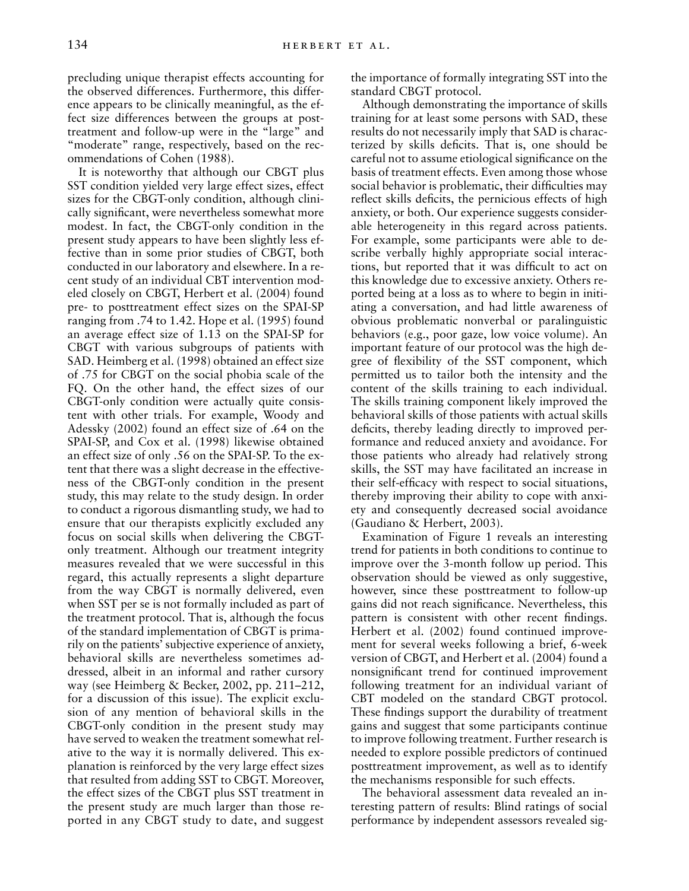precluding unique therapist effects accounting for the observed differences. Furthermore, this difference appears to be clinically meaningful, as the effect size differences between the groups at posttreatment and follow-up were in the "large" and "moderate" range, respectively, based on the recommendations of Cohen (1988).

It is noteworthy that although our CBGT plus SST condition yielded very large effect sizes, effect sizes for the CBGT-only condition, although clinically significant, were nevertheless somewhat more modest. In fact, the CBGT-only condition in the present study appears to have been slightly less effective than in some prior studies of CBGT, both conducted in our laboratory and elsewhere. In a recent study of an individual CBT intervention modeled closely on CBGT, Herbert et al. (2004) found pre- to posttreatment effect sizes on the SPAI-SP ranging from .74 to 1.42. Hope et al. (1995) found an average effect size of 1.13 on the SPAI-SP for CBGT with various subgroups of patients with SAD. Heimberg et al. (1998) obtained an effect size of .75 for CBGT on the social phobia scale of the FQ. On the other hand, the effect sizes of our CBGT-only condition were actually quite consistent with other trials. For example, Woody and Adessky (2002) found an effect size of .64 on the SPAI-SP, and Cox et al. (1998) likewise obtained an effect size of only .56 on the SPAI-SP. To the extent that there was a slight decrease in the effectiveness of the CBGT-only condition in the present study, this may relate to the study design. In order to conduct a rigorous dismantling study, we had to ensure that our therapists explicitly excluded any focus on social skills when delivering the CBGTonly treatment. Although our treatment integrity measures revealed that we were successful in this regard, this actually represents a slight departure from the way CBGT is normally delivered, even when SST per se is not formally included as part of the treatment protocol. That is, although the focus of the standard implementation of CBGT is primarily on the patients' subjective experience of anxiety, behavioral skills are nevertheless sometimes addressed, albeit in an informal and rather cursory way (see Heimberg & Becker, 2002, pp. 211–212, for a discussion of this issue). The explicit exclusion of any mention of behavioral skills in the CBGT-only condition in the present study may have served to weaken the treatment somewhat relative to the way it is normally delivered. This explanation is reinforced by the very large effect sizes that resulted from adding SST to CBGT. Moreover, the effect sizes of the CBGT plus SST treatment in the present study are much larger than those reported in any CBGT study to date, and suggest

the importance of formally integrating SST into the standard CBGT protocol.

Although demonstrating the importance of skills training for at least some persons with SAD, these results do not necessarily imply that SAD is characterized by skills deficits. That is, one should be careful not to assume etiological significance on the basis of treatment effects. Even among those whose social behavior is problematic, their difficulties may reflect skills deficits, the pernicious effects of high anxiety, or both. Our experience suggests considerable heterogeneity in this regard across patients. For example, some participants were able to describe verbally highly appropriate social interactions, but reported that it was difficult to act on this knowledge due to excessive anxiety. Others reported being at a loss as to where to begin in initiating a conversation, and had little awareness of obvious problematic nonverbal or paralinguistic behaviors (e.g., poor gaze, low voice volume). An important feature of our protocol was the high degree of flexibility of the SST component, which permitted us to tailor both the intensity and the content of the skills training to each individual. The skills training component likely improved the behavioral skills of those patients with actual skills deficits, thereby leading directly to improved performance and reduced anxiety and avoidance. For those patients who already had relatively strong skills, the SST may have facilitated an increase in their self-efficacy with respect to social situations, thereby improving their ability to cope with anxiety and consequently decreased social avoidance (Gaudiano & Herbert, 2003).

Examination of Figure 1 reveals an interesting trend for patients in both conditions to continue to improve over the 3-month follow up period. This observation should be viewed as only suggestive, however, since these posttreatment to follow-up gains did not reach significance. Nevertheless, this pattern is consistent with other recent findings. Herbert et al. (2002) found continued improvement for several weeks following a brief, 6-week version of CBGT, and Herbert et al. (2004) found a nonsignificant trend for continued improvement following treatment for an individual variant of CBT modeled on the standard CBGT protocol. These findings support the durability of treatment gains and suggest that some participants continue to improve following treatment. Further research is needed to explore possible predictors of continued posttreatment improvement, as well as to identify the mechanisms responsible for such effects.

The behavioral assessment data revealed an interesting pattern of results: Blind ratings of social performance by independent assessors revealed sig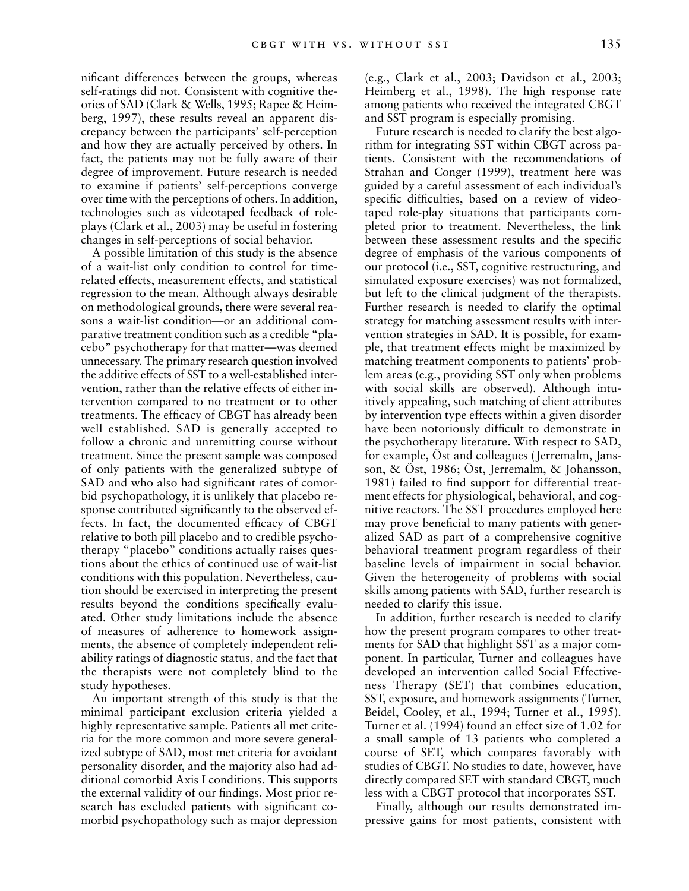nificant differences between the groups, whereas self-ratings did not. Consistent with cognitive theories of SAD (Clark & Wells, 1995; Rapee & Heimberg, 1997), these results reveal an apparent discrepancy between the participants' self-perception and how they are actually perceived by others. In fact, the patients may not be fully aware of their degree of improvement. Future research is needed to examine if patients' self-perceptions converge over time with the perceptions of others. In addition, technologies such as videotaped feedback of roleplays (Clark et al., 2003) may be useful in fostering changes in self-perceptions of social behavior.

A possible limitation of this study is the absence of a wait-list only condition to control for timerelated effects, measurement effects, and statistical regression to the mean. Although always desirable on methodological grounds, there were several reasons a wait-list condition—or an additional comparative treatment condition such as a credible "placebo" psychotherapy for that matter—was deemed unnecessary. The primary research question involved the additive effects of SST to a well-established intervention, rather than the relative effects of either intervention compared to no treatment or to other treatments. The efficacy of CBGT has already been well established. SAD is generally accepted to follow a chronic and unremitting course without treatment. Since the present sample was composed of only patients with the generalized subtype of SAD and who also had significant rates of comorbid psychopathology, it is unlikely that placebo response contributed significantly to the observed effects. In fact, the documented efficacy of CBGT relative to both pill placebo and to credible psychotherapy "placebo" conditions actually raises questions about the ethics of continued use of wait-list conditions with this population. Nevertheless, caution should be exercised in interpreting the present results beyond the conditions specifically evaluated. Other study limitations include the absence of measures of adherence to homework assignments, the absence of completely independent reliability ratings of diagnostic status, and the fact that the therapists were not completely blind to the study hypotheses.

An important strength of this study is that the minimal participant exclusion criteria yielded a highly representative sample. Patients all met criteria for the more common and more severe generalized subtype of SAD, most met criteria for avoidant personality disorder, and the majority also had additional comorbid Axis I conditions. This supports the external validity of our findings. Most prior research has excluded patients with significant comorbid psychopathology such as major depression

(e.g., Clark et al., 2003; Davidson et al., 2003; Heimberg et al., 1998). The high response rate among patients who received the integrated CBGT and SST program is especially promising.

Future research is needed to clarify the best algorithm for integrating SST within CBGT across patients. Consistent with the recommendations of Strahan and Conger (1999), treatment here was guided by a careful assessment of each individual's specific difficulties, based on a review of videotaped role-play situations that participants completed prior to treatment. Nevertheless, the link between these assessment results and the specific degree of emphasis of the various components of our protocol (i.e., SST, cognitive restructuring, and simulated exposure exercises) was not formalized, but left to the clinical judgment of the therapists. Further research is needed to clarify the optimal strategy for matching assessment results with intervention strategies in SAD. It is possible, for example, that treatment effects might be maximized by matching treatment components to patients' problem areas (e.g., providing SST only when problems with social skills are observed). Although intuitively appealing, such matching of client attributes by intervention type effects within a given disorder have been notoriously difficult to demonstrate in the psychotherapy literature. With respect to SAD, for example, Öst and colleagues (Jerremalm, Jansson, & Öst, 1986; Öst, Jerremalm, & Johansson, 1981) failed to find support for differential treatment effects for physiological, behavioral, and cognitive reactors. The SST procedures employed here may prove beneficial to many patients with generalized SAD as part of a comprehensive cognitive behavioral treatment program regardless of their baseline levels of impairment in social behavior. Given the heterogeneity of problems with social skills among patients with SAD, further research is needed to clarify this issue.

In addition, further research is needed to clarify how the present program compares to other treatments for SAD that highlight SST as a major component. In particular, Turner and colleagues have developed an intervention called Social Effectiveness Therapy (SET) that combines education, SST, exposure, and homework assignments (Turner, Beidel, Cooley, et al., 1994; Turner et al., 1995). Turner et al. (1994) found an effect size of 1.02 for a small sample of 13 patients who completed a course of SET, which compares favorably with studies of CBGT. No studies to date, however, have directly compared SET with standard CBGT, much less with a CBGT protocol that incorporates SST.

Finally, although our results demonstrated impressive gains for most patients, consistent with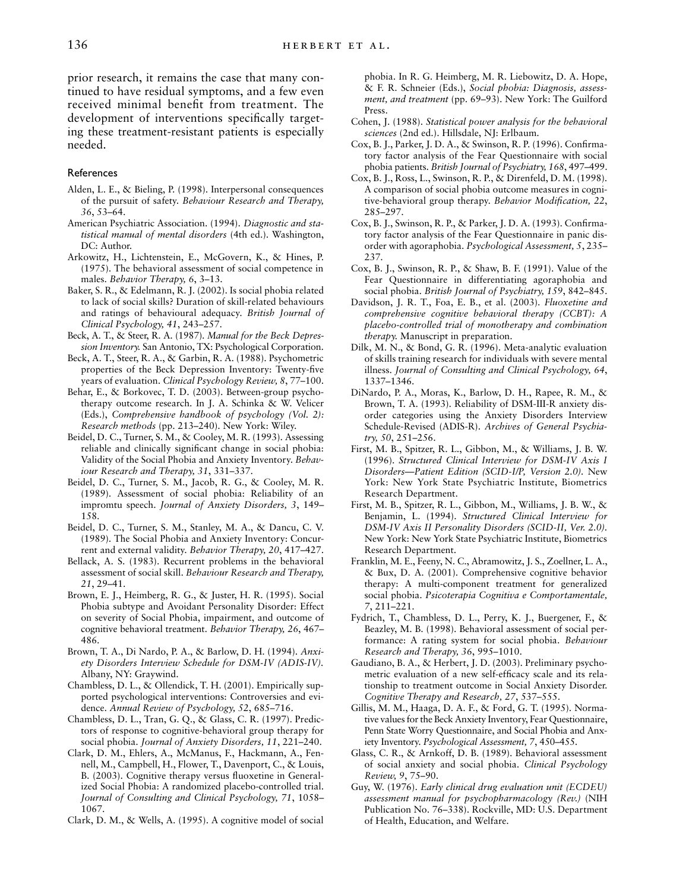prior research, it remains the case that many continued to have residual symptoms, and a few even received minimal benefit from treatment. The development of interventions specifically targeting these treatment-resistant patients is especially needed.

## References

- Alden, L. E., & Bieling, P. (1998). Interpersonal consequences of the pursuit of safety. *Behaviour Research and Therapy, 36*, 53–64.
- American Psychiatric Association. (1994). *Diagnostic and statistical manual of mental disorders* (4th ed.). Washington, DC: Author.
- Arkowitz, H., Lichtenstein, E., McGovern, K., & Hines, P. (1975). The behavioral assessment of social competence in males. *Behavior Therapy, 6*, 3–13.
- Baker, S. R., & Edelmann, R. J. (2002). Is social phobia related to lack of social skills? Duration of skill-related behaviours and ratings of behavioural adequacy. *British Journal of Clinical Psychology, 41*, 243–257.
- Beck, A. T., & Steer, R. A. (1987). *Manual for the Beck Depression Inventory.* San Antonio, TX: Psychological Corporation.
- Beck, A. T., Steer, R. A., & Garbin, R. A. (1988). Psychometric properties of the Beck Depression Inventory: Twenty-five years of evaluation. *Clinical Psychology Review, 8*, 77–100.
- Behar, E., & Borkovec, T. D. (2003). Between-group psychotherapy outcome research. In J. A. Schinka & W. Velicer (Eds.), *Comprehensive handbook of psychology (Vol. 2): Research methods* (pp. 213–240). New York: Wiley.
- Beidel, D. C., Turner, S. M., & Cooley, M. R. (1993). Assessing reliable and clinically significant change in social phobia: Validity of the Social Phobia and Anxiety Inventory. *Behaviour Research and Therapy, 31*, 331–337.
- Beidel, D. C., Turner, S. M., Jacob, R. G., & Cooley, M. R. (1989). Assessment of social phobia: Reliability of an impromtu speech. *Journal of Anxiety Disorders, 3*, 149– 158.
- Beidel, D. C., Turner, S. M., Stanley, M. A., & Dancu, C. V. (1989). The Social Phobia and Anxiety Inventory: Concurrent and external validity. *Behavior Therapy, 20*, 417–427.
- Bellack, A. S. (1983). Recurrent problems in the behavioral assessment of social skill. *Behaviour Research and Therapy, 21*, 29–41.
- Brown, E. J., Heimberg, R. G., & Juster, H. R. (1995). Social Phobia subtype and Avoidant Personality Disorder: Effect on severity of Social Phobia, impairment, and outcome of cognitive behavioral treatment. *Behavior Therapy, 26*, 467– 486.
- Brown, T. A., Di Nardo, P. A., & Barlow, D. H. (1994). *Anxiety Disorders Interview Schedule for DSM-IV (ADIS-IV).* Albany, NY: Graywind.
- Chambless, D. L., & Ollendick, T. H. (2001). Empirically supported psychological interventions: Controversies and evidence. *Annual Review of Psychology, 52*, 685–716.
- Chambless, D. L., Tran, G. Q., & Glass, C. R. (1997). Predictors of response to cognitive-behavioral group therapy for social phobia. *Journal of Anxiety Disorders, 11*, 221–240.
- Clark, D. M., Ehlers, A., McManus, F., Hackmann, A., Fennell, M., Campbell, H., Flower, T., Davenport, C., & Louis, B. (2003). Cognitive therapy versus fluoxetine in Generalized Social Phobia: A randomized placebo-controlled trial. *Journal of Consulting and Clinical Psychology, 71*, 1058– 1067.
- Clark, D. M., & Wells, A. (1995). A cognitive model of social

phobia. In R. G. Heimberg, M. R. Liebowitz, D. A. Hope, & F. R. Schneier (Eds.), *Social phobia: Diagnosis, assessment, and treatment* (pp. 69–93). New York: The Guilford Press.

- Cohen, J. (1988). *Statistical power analysis for the behavioral sciences* (2nd ed.). Hillsdale, NJ: Erlbaum.
- Cox, B. J., Parker, J. D. A., & Swinson, R. P. (1996). Confirmatory factor analysis of the Fear Questionnaire with social phobia patients. *British Journal of Psychiatry, 168*, 497–499.
- Cox, B. J., Ross, L., Swinson, R. P., & Direnfeld, D. M. (1998). A comparison of social phobia outcome measures in cognitive-behavioral group therapy. *Behavior Modification, 22*, 285–297.
- Cox, B. J., Swinson, R. P., & Parker, J. D. A. (1993). Confirmatory factor analysis of the Fear Questionnaire in panic disorder with agoraphobia. *Psychological Assessment, 5*, 235– 237.
- Cox, B. J., Swinson, R. P., & Shaw, B. F. (1991). Value of the Fear Questionnaire in differentiating agoraphobia and social phobia. *British Journal of Psychiatry, 159*, 842–845.
- Davidson, J. R. T., Foa, E. B., et al. (2003). *Fluoxetine and comprehensive cognitive behavioral therapy (CCBT): A placebo-controlled trial of monotherapy and combination therapy.* Manuscript in preparation.
- Dilk, M. N., & Bond, G. R. (1996). Meta-analytic evaluation of skills training research for individuals with severe mental illness. *Journal of Consulting and Clinical Psychology, 64*, 1337–1346.
- DiNardo, P. A., Moras, K., Barlow, D. H., Rapee, R. M., & Brown, T. A. (1993). Reliability of DSM-III-R anxiety disorder categories using the Anxiety Disorders Interview Schedule-Revised (ADIS-R). *Archives of General Psychiatry, 50*, 251–256.
- First, M. B., Spitzer, R. L., Gibbon, M., & Williams, J. B. W. (1996). *Structured Clinical Interview for DSM-IV Axis I Disorders—Patient Edition (SCID-I/P, Version 2.0).* New York: New York State Psychiatric Institute, Biometrics Research Department.
- First, M. B., Spitzer, R. L., Gibbon, M., Williams, J. B. W., & Benjamin, L. (1994). *Structured Clinical Interview for DSM-IV Axis II Personality Disorders (SCID-II, Ver. 2.0).* New York: New York State Psychiatric Institute, Biometrics Research Department.
- Franklin, M. E., Feeny, N. C., Abramowitz, J. S., Zoellner, L. A., & Bux, D. A. (2001). Comprehensive cognitive behavior therapy: A multi-component treatment for generalized social phobia. *Psicoterapia Cognitiva e Comportamentale, 7*, 211–221.
- Fydrich, T., Chambless, D. L., Perry, K. J., Buergener, F., & Beazley, M. B. (1998). Behavioral assessment of social performance: A rating system for social phobia. *Behaviour Research and Therapy, 36*, 995–1010.
- Gaudiano, B. A., & Herbert, J. D. (2003). Preliminary psychometric evaluation of a new self-efficacy scale and its relationship to treatment outcome in Social Anxiety Disorder. *Cognitive Therapy and Research, 27*, 537–555.
- Gillis, M. M., Haaga, D. A. F., & Ford, G. T. (1995). Normative values for the Beck Anxiety Inventory, Fear Questionnaire, Penn State Worry Questionnaire, and Social Phobia and Anxiety Inventory. *Psychological Assessment, 7*, 450–455.
- Glass, C. R., & Arnkoff, D. B. (1989). Behavioral assessment of social anxiety and social phobia. *Clinical Psychology Review, 9*, 75–90.
- Guy, W. (1976). *Early clinical drug evaluation unit (ECDEU) assessment manual for psychopharmacology (Rev.)* (NIH Publication No. 76–338). Rockville, MD: U.S. Department of Health, Education, and Welfare.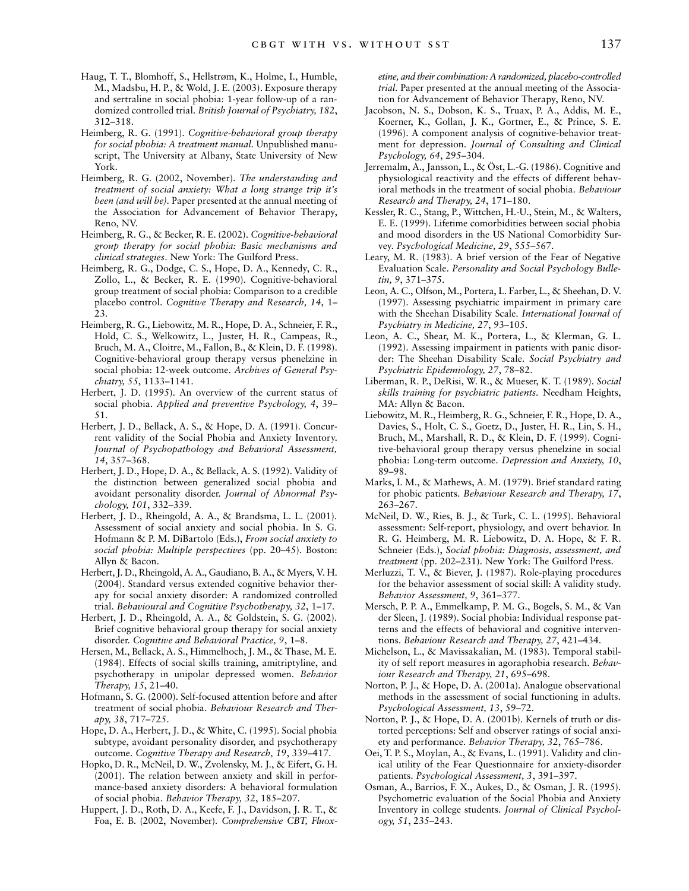- Haug, T. T., Blomhoff, S., Hellstrøm, K., Holme, I., Humble, M., Madsbu, H. P., & Wold, J. E. (2003). Exposure therapy and sertraline in social phobia: 1-year follow-up of a randomized controlled trial. *British Journal of Psychiatry, 182*, 312–318.
- Heimberg, R. G. (1991). *Cognitive-behavioral group therapy for social phobia: A treatment manual.* Unpublished manuscript, The University at Albany, State University of New York.
- Heimberg, R. G. (2002, November). *The understanding and treatment of social anxiety: What a long strange trip it's been (and will be).* Paper presented at the annual meeting of the Association for Advancement of Behavior Therapy, Reno, NV.
- Heimberg, R. G., & Becker, R. E. (2002). *Cognitive-behavioral group therapy for social phobia: Basic mechanisms and clinical strategies*. New York: The Guilford Press.
- Heimberg, R. G., Dodge, C. S., Hope, D. A., Kennedy, C. R., Zollo, L., & Becker, R. E. (1990). Cognitive-behavioral group treatment of social phobia: Comparison to a credible placebo control. *Cognitive Therapy and Research, 14*, 1– 23.
- Heimberg, R. G., Liebowitz, M. R., Hope, D. A., Schneier, F. R., Hold, C. S., Welkowitz, L., Juster, H. R., Campeas, R., Bruch, M. A., Cloitre, M., Fallon, B., & Klein, D. F. (1998). Cognitive-behavioral group therapy versus phenelzine in social phobia: 12-week outcome. *Archives of General Psychiatry, 55*, 1133–1141.
- Herbert, J. D. (1995). An overview of the current status of social phobia. *Applied and preventive Psychology, 4*, 39– 51.
- Herbert, J. D., Bellack, A. S., & Hope, D. A. (1991). Concurrent validity of the Social Phobia and Anxiety Inventory. *Journal of Psychopathology and Behavioral Assessment, 14*, 357–368.
- Herbert, J. D., Hope, D. A., & Bellack, A. S. (1992). Validity of the distinction between generalized social phobia and avoidant personality disorder. *Journal of Abnormal Psychology, 101*, 332–339.
- Herbert, J. D., Rheingold, A. A., & Brandsma, L. L. (2001). Assessment of social anxiety and social phobia. In S. G. Hofmann & P. M. DiBartolo (Eds.), *From social anxiety to social phobia: Multiple perspectives* (pp. 20–45). Boston: Allyn & Bacon.
- Herbert, J. D., Rheingold, A. A., Gaudiano, B. A., & Myers, V. H. (2004). Standard versus extended cognitive behavior therapy for social anxiety disorder: A randomized controlled trial. *Behavioural and Cognitive Psychotherapy, 32*, 1–17.
- Herbert, J. D., Rheingold, A. A., & Goldstein, S. G. (2002). Brief cognitive behavioral group therapy for social anxiety disorder. *Cognitive and Behavioral Practice, 9*, 1–8.
- Hersen, M., Bellack, A. S., Himmelhoch, J. M., & Thase, M. E. (1984). Effects of social skills training, amitriptyline, and psychotherapy in unipolar depressed women. *Behavior Therapy, 15*, 21–40.
- Hofmann, S. G. (2000). Self-focused attention before and after treatment of social phobia. *Behaviour Research and Therapy, 38*, 717–725.
- Hope, D. A., Herbert, J. D., & White, C. (1995). Social phobia subtype, avoidant personality disorder, and psychotherapy outcome. *Cognitive Therapy and Research, 19*, 339–417.
- Hopko, D. R., McNeil, D. W., Zvolensky, M. J., & Eifert, G. H. (2001). The relation between anxiety and skill in performance-based anxiety disorders: A behavioral formulation of social phobia. *Behavior Therapy, 32*, 185–207.
- Huppert, J. D., Roth, D. A., Keefe, F. J., Davidson, J. R. T., & Foa, E. B. (2002, November). *Comprehensive CBT, Fluox-*

*etine, and their combination: A randomized, placebo-controlled trial.* Paper presented at the annual meeting of the Association for Advancement of Behavior Therapy, Reno, NV.

- Jacobson, N. S., Dobson, K. S., Truax, P. A., Addis, M. E., Koerner, K., Gollan, J. K., Gortner, E., & Prince, S. E. (1996). A component analysis of cognitive-behavior treatment for depression. *Journal of Consulting and Clinical Psychology, 64*, 295–304.
- Jerremalm, A., Jansson, L., & Öst, L.-G. (1986). Cognitive and physiological reactivity and the effects of different behavioral methods in the treatment of social phobia. *Behaviour Research and Therapy, 24*, 171–180.
- Kessler, R. C., Stang, P., Wittchen, H.-U., Stein, M., & Walters, E. E. (1999). Lifetime comorbidities between social phobia and mood disorders in the US National Comorbidity Survey. *Psychological Medicine, 29*, 555–567.
- Leary, M. R. (1983). A brief version of the Fear of Negative Evaluation Scale. *Personality and Social Psychology Bulletin, 9*, 371–375.
- Leon, A. C., Olfson, M., Portera, L. Farber, L., & Sheehan, D. V. (1997). Assessing psychiatric impairment in primary care with the Sheehan Disability Scale. *International Journal of Psychiatry in Medicine, 27*, 93–105.
- Leon, A. C., Shear, M. K., Portera, L., & Klerman, G. L. (1992). Assessing impairment in patients with panic disorder: The Sheehan Disability Scale*. Social Psychiatry and Psychiatric Epidemiology, 27*, 78–82.
- Liberman, R. P., DeRisi, W. R., & Mueser, K. T. (1989). *Social skills training for psychiatric patients.* Needham Heights, MA: Allyn & Bacon.
- Liebowitz, M. R., Heimberg, R. G., Schneier, F. R., Hope, D. A., Davies, S., Holt, C. S., Goetz, D., Juster, H. R., Lin, S. H., Bruch, M., Marshall, R. D., & Klein, D. F. (1999). Cognitive-behavioral group therapy versus phenelzine in social phobia: Long-term outcome. *Depression and Anxiety, 10*, 89–98.
- Marks, I. M., & Mathews, A. M. (1979). Brief standard rating for phobic patients. *Behaviour Research and Therapy, 17*, 263–267.
- McNeil, D. W., Ries, B. J., & Turk, C. L. (1995). Behavioral assessment: Self-report, physiology, and overt behavior. In R. G. Heimberg, M. R. Liebowitz, D. A. Hope, & F. R. Schneier (Eds.), *Social phobia: Diagnosis, assessment, and treatment* (pp. 202–231). New York: The Guilford Press.
- Merluzzi, T. V., & Biever, J. (1987). Role-playing procedures for the behavior assessment of social skill: A validity study. *Behavior Assessment, 9*, 361–377.
- Mersch, P. P. A., Emmelkamp, P. M. G., Bogels, S. M., & Van der Sleen, J. (1989). Social phobia: Individual response patterns and the effects of behavioral and cognitive interventions. *Behaviour Research and Therapy, 27*, 421–434.
- Michelson, L., & Mavissakalian, M. (1983). Temporal stability of self report measures in agoraphobia research. *Behaviour Research and Therapy, 21*, 695–698.
- Norton, P. J., & Hope, D. A. (2001a). Analogue observational methods in the assessment of social functioning in adults. *Psychological Assessment, 13*, 59–72.
- Norton, P. J., & Hope, D. A. (2001b). Kernels of truth or distorted perceptions: Self and observer ratings of social anxiety and performance. *Behavior Therapy, 32*, 765–786.
- Oei, T. P. S., Moylan, A., & Evans, L. (1991). Validity and clinical utility of the Fear Questionnaire for anxiety-disorder patients. *Psychological Assessment, 3*, 391–397.
- Osman, A., Barrios, F. X., Aukes, D., & Osman, J. R. (1995). Psychometric evaluation of the Social Phobia and Anxiety Inventory in college students. *Journal of Clinical Psychology, 51*, 235–243.